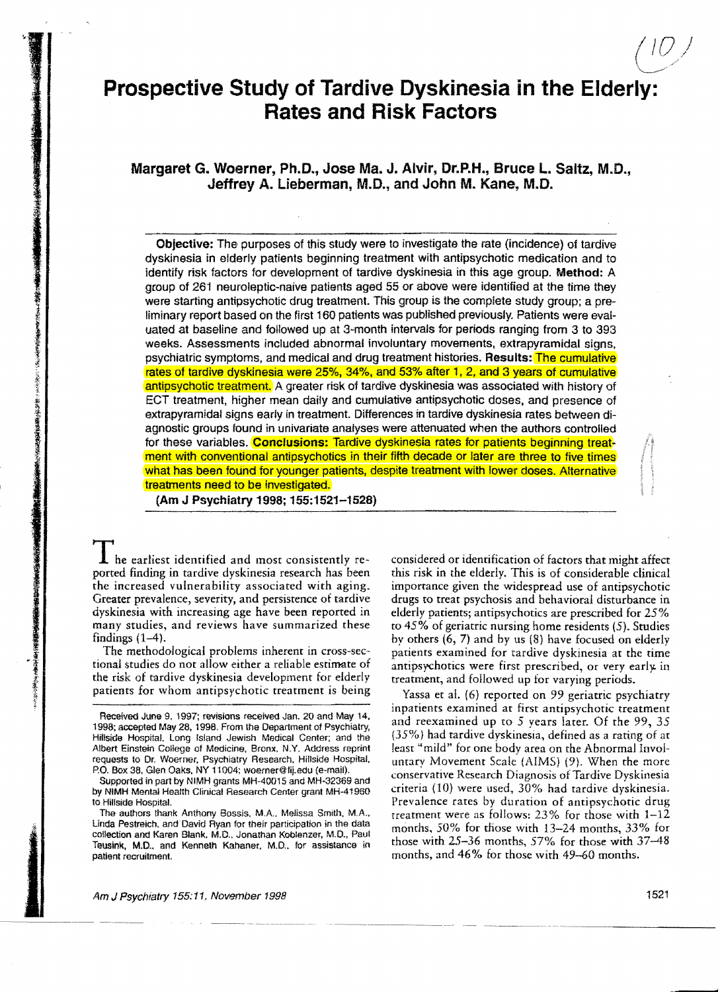# Prospective Study **of** Tardive Dyskinesia in the Elderly: Rates and Risk Factors

# Margaret G. Woerner, Ph.D., Jose Ma. J. Alvir, Dr.P.H., Bruce L. Saltz, M.D., Jeffrey A. lieberman, M.D., and John M. Kane, M.D.

Objective: The purposes of this study were to investigate the rate (incidence) of tardive dyskinesia in elderly patients beginning treatment with antipsychotic medication and to identify risk factors for development of tardive dyskinesia in this age group. Method: A group of 261 neuroleptic-naive patients aged 55 or above were identified at the time they were starting antipsychotic drug treatment. This group is the complete study group; a preliminary report based on the first 160 patients was published previousfy. Patients were evaluated at baseline and followed up at 3-month intervals for periods ranging from 3 to 393 weeks. Assessments included abnormal involuntary movements, extrapyramidal signs, psychiatric symptoms, and medical and drug treatment histories. Results: The cumulative rates of tardive dyskinesia were 25%, 34%, and 53% after 1, 2, and 3 years of cumulative antipsychotic treatment. A greater risk of tardive dyskinesia was associated with history of ECT treatment, higher mean daily and cumulative antipsychotic doses, and presence of extrapyramidal signs early in treatment. Differences in tardive dyskinesia rates between diagnostic groups found in univariate analyses were attenuated when the authors controlled for these variables. Conclusions: Tardive dyskinesia rates for patients beginning treatment with conventional antipsychotics in their fifth decade or later are three to five times what has been found for younger patients, despite treatment with lower doses. Alternative treatments need to be investigated.

(Am J Psychiatry 1998; 155:1521-1528)

**I** he earliest identified and most consistently re-<br>ported finding in tardive dyskinesia research has been this risk in the elderly. This is of considerable clinical dyskinesia with increasing age have been reported in elderly patients; antipsychotics are prescribed for 25% many studies<br>many studies, and reviews have summarized these to 45% of geriatric nursing home residents (5). Stud

the risk of tardive dyskinesia development for elderly treatment, and followed up for varying periods.<br>patients for whom antipsychotic treatment is being Yassa et al. (6) reported on 99 geriotric percent

this risk in the elderly. This is of considerable clinical the increased vulnerability associated with aging. importance given the widespread use of antipsychotic<br>Greater prevalence, severity, and persistence of tardive drugs to treat psychosis and behavioral disturbance in drugs to treat psychosis and behavioral disturbance in many studies, and reviews have summarized these to 45% of geriatric nursing home residents (5). Studies<br>findings (1–4).<br>by others (6, 7) and by us (8) have focused on elderly ndings (1–4).<br>The methodological problems inherent in cross-sec-<br>patients examined for tardive dyskinesia at the time The methodological problems inherent in cross-sec-<br>tional studies do not allow either a reliable estimate of antipsychotics were first prescribed, or very early in antipsychotics were first prescribed, or very early in

Yassa et al. (6) reported on 99 geriatric psychiatry inpatients examined at first antipsychotic treatment Received June 9, 1997; revisions received Jan. 20 and May 14. and reexamined up to 5 years later. Of the 99, 35 1998; accepted May 28, 1998. From the Department of Psychiatry, and reexamined up to 5 years later. Of the 99, Hillside Hospital. Long Island Jewish Medical Center; and the (35%) had tardive dyskinesia, defined as a rating of at<br>Albert Einstein College of Medicine, Bronx, N.Y. Address reprint least "mild" for one body area on the A requests to Dr. Woerner. Psychiatry Research. Hillside Hospital. untary Movement Scale (AIMS) (9). When the more<br>P.O. Box 38, Glen Oaks, NY 11004; woerner@lij.edu (e-mail). P.O. Box 38, Gien Oaks, NY 11004; Woerner Will, edu (e-mail).<br>Supported in part by NIMH grants MH-40015 and MH-32369 and<br>by NIMH Mental Health Clinical Research Center grant MH-41960 criteria (10) were used, 30% had tardiv to Hillside Hospital. The Prevalence rates by duration of antipsychotic drug The authors thank Anthony Bossis, M.A.. Melissa Smith, M.A., treatment were as follows:  $23\%$  for those with  $1-12$ <br>Linda Pestreich, and David Ryan for their participation in the data months. 50% for those with 12, 24 mo Linda Pestreich, and David Hyan for their participation in the data<br>collection and Karen Blank, M.D., Jonathan Koblenzer, M.D., Paul<br>Teusink, M.D., and Kenneth Kahaner, M.D., for assistance in those with 25-36 months, 57%

ID

Albert Einstein College of Medicine. Bronx. N.Y. Address reprint least "mild" for one body area on the Abnormal Invol

patient recruitment. months, and 46% for those with 49-60 months.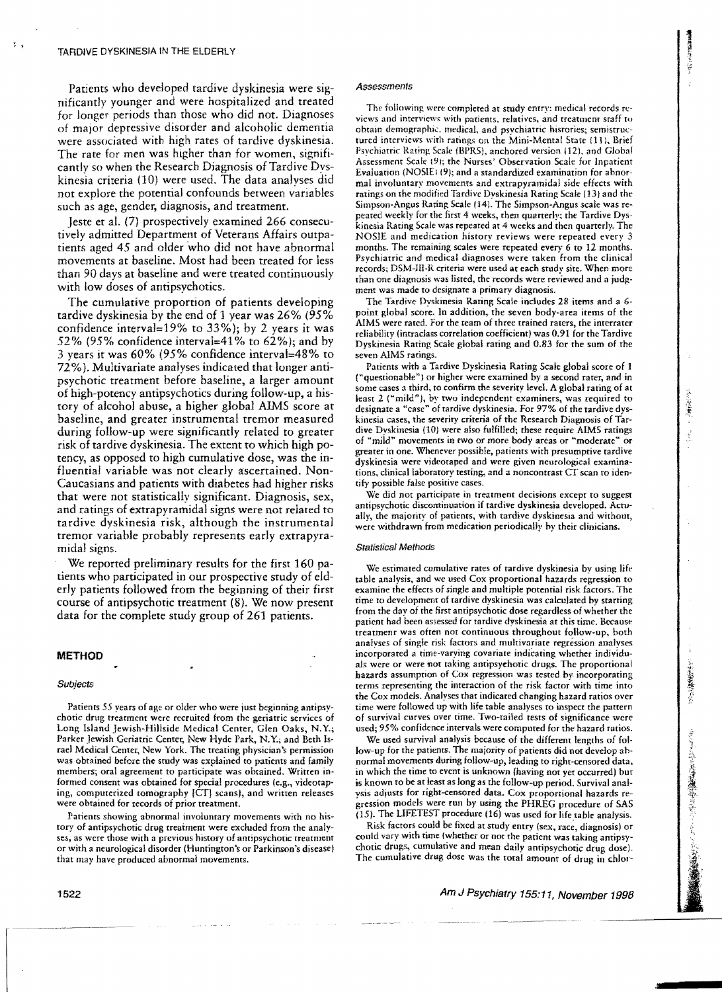Patients who developed tardive dyskinesia were significantly younger and were hospitalized and treated for longer periods than those who did not. Diagnoses of major depressive disorder and alcoholic dementia were associated with high rates of tardive dyskinesia. The rate for men was higher than for women, significantly so when the Research Diagnosis of Tardive Dyskinesia criteria {lO} were used. The data analyses did not explore the potential confounds between variables such as age, gender, diagnosis, and treatment.

Jeste et a1. (7) prospectively examined 266 consecutively admitted Department of Veterans Affairs outpatients aged 45 and older who did not have abnormal movements at baseline. Most had been treated for less than 90 days at baseline and were treated continuously with low doses of antipsychotics.

The cumulative proportion of patients developing tardive dyskinesia by the end of 1 year was 26% (95% confidence interval=19% to 33%); by 2 years it was 52% (95% confidence interval=41% to  $62\%$ ); and by 3 vears it was 60% (95% confidence interval=48% to 72%). Multivariate analyses indicated that longer antipsychotic treatment before baseline, a larger amount of high-potency antipsychotics during follow-up, a history of alcohol abuse, a higher global AIMS score at baseline, and greater instrumental tremor measured during follow-up were significantly related to greater risk of tardive dyskinesia. The extent to which high potency, as opposed to high cumulative dose, was the influential variable was not dearly ascertained. Non-Caucasians and patients with diabetes had higher risks that were not statistically significant. Diagnosis, sex, and ratings of extrapyramidal signs were not related to tardive dyskinesia risk, although the instrumental tremor variable probably represents early extrapyramidal signs.

We reported preliminary results for the first 160 patients who participated in our prospective study of elderly patients followed from the beginning of their first course of antipsychotic treatment (8). We now present data for the complete study group of 261 patients.

#### **METHOD**

#### Subjects

Patienrs 55 years of age or older who were just beginning antipsychotic drug treatment were recruited from the geriatric services of Long Island Jewish-Hillside Medical Cenrer, Glen Oaks, N.Y.; Parker Jewish Geriatric Center, New Hyde Park, N.Y.; and Beth Israel Medical Center, New York. The treating physician's permission was obtained before the srudy was explained ro patients and family members; oral agreement to participate was obtained. Written informed consent was obtained for special procedures (e.g., videotaping, computerized tomography [CT] scans), and written releases were obtained for records of prior treatmem.

Patiems showing abnormal involuntary movements with no history of antipsychotic drug treatment were excluded from the analr' ses, as *were* those with a previous history of anripsychotic treatment or with a neurological disorder (Huntington's or Parkinson'5 disease) that may have produced abnormal movements.

#### **Assessments**

The following were completed at study entry: medical records reviews and interviews with patients, relatives, and treatment sraff to obtain demographic. medical, and psychiatric histories; semistructured interviews with ratings on the Mini-Mental State (11), Brief Psychiatric Rating Scale (BPRS), anchored version (12), and Global Assessment Scale 191; the Nurses' Observarion Scale for Inpatient Evaluation (NOSIE1(9); and a standardized examination for abnormal involuntary movements and extrapyramidal side effects with ratings on the modified Tardive Dyskinesia Rating Scale (13) and the Simpson-Angus Raring Scale (14). The Simpson-Angus scale was repeated weekly for the first 4 weeks, then quanerly; the Tardive Dyskinesia Raring Scale was repeated at 4 weeks and then quarterly. The NOSIE and medicarion history reviews were repeated every 3 months. The remaining scales were repeated every 6 to 12 months. Psychiatric and medical diagnoses were taken from the clinical records; DSM-Ul-R criteria were used at each study site. When more than one diagnosis was listed, the records were reviewed and a judgment was made to designate a primary diagnosis.

The Tardive Dyskinesia Raring Scale includes 28 items and a 6 point global score. In addition, the seven body-area items of the AIMS were rated. For the team of three trained raters, the interrater reliability (intraclass correlation coefficient) was 0.91 for the Tardive Dyskinesia Rating Scale global rating and 0.83 for the sum of the seven AIMS ratings.

Patients with a Tardive Dyskinesia Rating Scale global score of 1 ("questionable") or higher were examined by a second rater, and in some cases a third, to confirm the severity level. A global rating of at least 2 ("mild"), by two independent examiners, was required to designate a "case" of tardive dyskinesia. For 97% of the tardive dyskinesia cases, the severity criteria of the Research Diagnosis of Tardive Dyskinesia (10) were also fulfilled; these require AIMS ratings of "mild" movements in two or more body areas or "moderate" or greater in one. Whenever possible, patients with presumptive tardive dyskinesia were videotaped and were given neurological examinations, clinical laboratory testing, and a noncontrast CT scan to identify possihle false positive cases.

We did not participate in treatment decisions except to suggest antipsychotic discontinuation if tardive dyskinesia developed. Actually, the majority of patients, with tardive dyskinesia and withom, were withdrawn from medication periodically by their clinicians.

#### **Statistical Methods**

We estimated cumulative rates of tardive dyskinesia by using life table analysis, and we used Cox proportional hazards regression to examine the effects of single and multiple potential risk factors. The time to development of tardive dyskinesia was calculated by starting from the day of the first antipsychotic dose regardless of whether the patient had been assessed for tardive dyskinesia at this time. Because rreatmenr was often not continuous throughout follow-up, both analyses of single risk factors and multivariate regression analyses incorporated a time-varying covariate indicating whether individuals were or were not taking antipsychotic drugs. The proportional hazards assumption of Cox regression was tested by incorporating terms represeming the interaction of the risk factor with time into the Cox models. Analyses that indicated changing hazard ratios over time were followed up with life table analyses to inspect the pattern of survival curves over time. Two-tailed rests of significance were used; 95% confidence intervals were computed for the hazard ratios.

We used survival analysis because of the different lengths of follow-up for the patienrs. The majority of patients did not develop ah· normal movements during follow-up, leading to right-censored data, in which the time to event is unknown (having nor yet occurred) bur is known to be at least as long as the follow-up period. Survival analysis adjusts for right-censored data. Cox proportional hazards regression models were run by using the PHREG procedure of SAS (15). The LIFETEST procedure (16) was used for life table analysis.

Risk factors could be fixed at study entry (sex, race, diagnosis) or could vary with time (whether or not the patient was taking antipsychotic drugs, cumulative and mean daily antipsychotic drug dose). The cumulative drug dose was the total amount of drug in chlor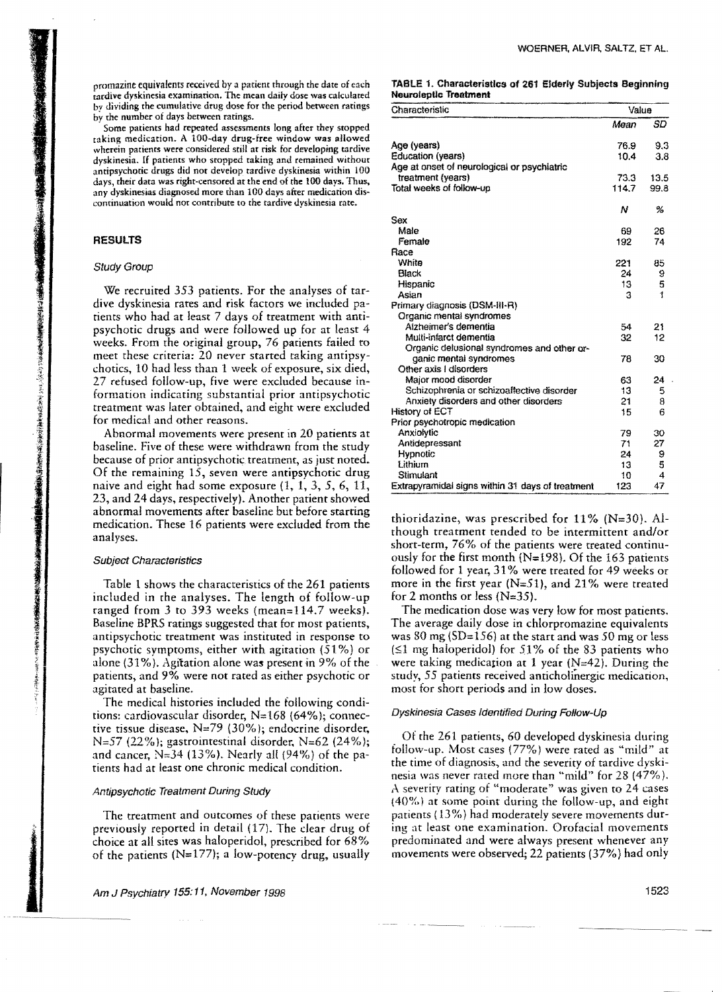promazine equivalents received by a patient through the date of each tardive dyskinesia examination. The mean daily dose was calculated by dividing the cumulative drug dose for the period between ratings by the number of days between ratings.

. Some patients had repeated assessments long after they stopped taking medication. A 100-day drug-free window was allowed wherein patients were considered still at risk for developing tardive dyskinesia. If patients who stopped taking and remained without antipsychotic drugs did nor develop tardive dyskinesia within 100 days, their data was right-censored at the end of the 100 days. Thus, any dyskinesias diagnosed more than 100 days after medication discontinuation would not contribute to the tardive dyskinesia rate.

# RESULTS

# Study Group

We recruited 353 patients. For the analyses of tardive dyskinesia rates and risk factors we included patients who had at least 7 days of treatment with antipsychotic drugs and were followed up for at least 4 weeks. From the original group, 76 patients failed to meet these criteria: 20 never started taking antipsychoties, 10 had less than 1 week of exposure, six died, 27 refused follow-up, five were excluded because information indicating substantial prior antipsychotic treatment was later obtained, and eight were excluded for medical and other reasons.

Abnormal movements were present in 20 patients at baseline. Five of these were withdrawn from the study because of prior antipsychotic treatment, as just noted. Of the remaining 15, seven were antipsychotic drug naive and eight had some exposure (1, 1, 3, 5, 6, 11, 23, and 24 days, respectively). Another patient showed abnormal movements after baseline but before starting medication. These 16 patients were excluded from the analyses.

#### Subject Characteristics

Table 1 shows the characteristics of the 261 patients included in the analyses. The length of follow-up ranged from 3 to 393 weeks (mean= $114.7$  weeks). Baseline BPRS ratings suggested that for most patients, antipsychotic treatment was instituted in response to psychotic symptoms, either with agitation (51%) or alone (31%). Agitation alone was present in 9% of the patients, and 9% were not rated as either psychotic or agitated at baseline.

The medical histories included the following conditions: cardiovascular disorder,  $N=168$  (64%); connective tissue disease,  $N=79$  (30%); endocrine disorder, N=57 (22%); gastrointestinal disorder, N=62 (24%); and cancer,  $N=34$  (13%). Nearly all (94%) of the patients had at least one chronic medical condition.

# Antipsychotic Treatment During Study

The treatment and outcomes of these patients were previously reported in detail (17). The dear drug of choice at all sites was haloperidol, prescribed for 68% of the patients ( $N=177$ ); a low-potency drug, usually

#### TABLE 1. Characteristics of 261 Elderly Subjects Beginning Neuroleptic Treatment

| Characteristic                                   | Value |      |  |
|--------------------------------------------------|-------|------|--|
|                                                  | Maan  | SD   |  |
| Age (years)                                      | 76.9  | 9.3  |  |
| <b>Education (years)</b>                         | 10.4  | 3.8  |  |
| Age at onset of neurological or psychiatric      |       |      |  |
| treatment (years)                                | 73.3  | 13.5 |  |
| Total weeks of follow-up                         | 114.7 | 99.8 |  |
|                                                  | Ν     | %    |  |
| Sex                                              |       |      |  |
| Male                                             | 69    | 26   |  |
| Female                                           | 192   | 74   |  |
| Race                                             |       |      |  |
| White                                            | 221   | 85   |  |
| Black                                            | 24    | 9    |  |
| Hispanic                                         | 13    | 5    |  |
| Asian                                            | з     | 1    |  |
| Primary diagnosis (DSM-III-R)                    |       |      |  |
| Organic mental syndromes                         |       |      |  |
| Alzheimer's dementia                             | 54    | 21   |  |
| Multi-infarct dementia                           | 32    | 12   |  |
| Organic delusional syndromes and other or-       |       |      |  |
| ganic mental syndromes                           | 78    | 30   |  |
| Other axis I disorders                           |       |      |  |
| Major mood disorder                              | 63    | 24   |  |
| Schizophrenia or schizoaffective disorder        | 13    | 5    |  |
| Anxiety disorders and other disorders            | 21    | 8    |  |
| History of ECT                                   | 15    | 6    |  |
| Prior psychotropic medication                    |       |      |  |
| Anxiolytic                                       | 79    | 30   |  |
| Antidepressant                                   | 71    | 27   |  |
| Hypnotic                                         | 24    | 9    |  |
| Lithium                                          | 13    | 5    |  |
| Stimulant                                        | 10    | 4    |  |
| Extrapyramidal signs within 31 days of treatment | 123   | 47   |  |

thioridazine, was prescribed for  $11\%$  (N=30). Although treatment tended to be intermittent and/or short-term, 76% of the patients were treated continuously for the first month ( $N=198$ ). Of the 163 patients followed for 1 year, 31 % were treated for 49 weeks or more in the first year ( $N=51$ ), and 21% were treated for 2 months or less (N=35).

The medication dose was very [ow for most patients. The average daily dose in chlorpromazine equivalents was 80 mg ( $SD=156$ ) at the start and was 50 mg or less  $(51$  mg haloperidol) for 51% of the 83 patients who were taking medication at 1 year ( $N=42$ ). During the study, 55 patients received anticholinergic medication, most for short periods and in low doses.

# Dyskinesia Cases Identified During Follow-Up

Of the 261 patients, 60 developed dyskinesia during follow-up. Most cases (77%) were rated as "mild" at the time of diagnosis, and the severity of tardive dyskinesia was never rated more than "mild" for 28 (47%). A severity rating of "moderate" was given to 24 cases (40%) at some point during the follow-up, and eight patients ( 13%) had moderately severe movements during at least one examination. Orofacial movements predominated and were always present whenever any movements were observed; 22 patients (37%) had only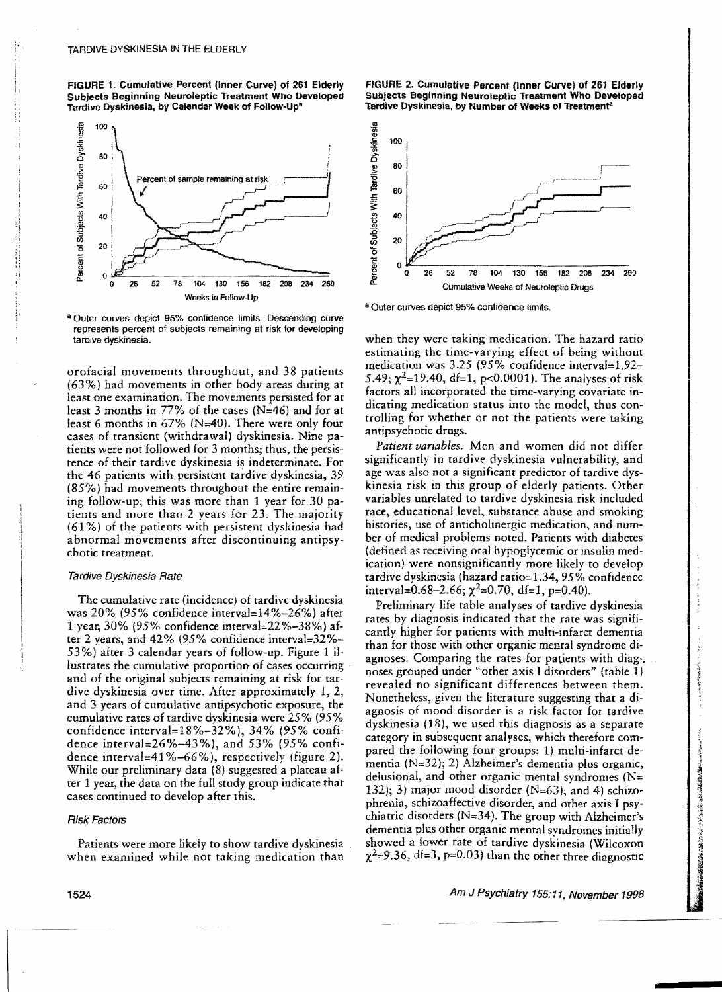FIGURE 1. Cumulative Percent (Inner Curve) of 261 Elderly Subjects Beginning Neuroleptic Treatment Who Developed Tardive Dyskinesia, by Calendar Week of Follow-Up\*



<sup>a</sup> Outer curves depict 95% confidence limits. Descending curve represents percent of subjects remaining at risk lor developing tardive dyskinesia.

orofacial movements throughout, and 38 patients (63%) had movements in other body areas during at least one examination. The movements persisted for at least 3 months in 77% of the cases ( $N=46$ ) and for at least 6 months in 67% (N=40). There were only four cases of transient (withdrawal) dyskinesia. Nine patients were not followed for 3 months; thus, the persistence of their tardive dyskinesia is indeterminate. For the 46 patients with persistent tardive dyskinesia, 39 (85%) had movements throughout the entire remaining follow-up; this was more than 1 year for 30 patients and more than 2 years for 23. The majority (61 %) of the patients with persistent dyskinesia had abnormal movements after discontinuing antipsychotic treatment.

## Tardive Dyskinesia Rate

The cumulative rate (incidence) of tardive dyskinesia was 10% (95% confidence intervaJ=14%-26%) after 1 year, 30% (95% confidence interval=22%-38%) after 2 years, and  $42\%$  (95% confidence interval= $32\%$ -53%) after 3 calendar years of follow-up. Figure 1 illustrates the cumulative proportion of cases occurring and of the original subjects remaining at risk for tardive dyskinesia over time. After approximately 1, 2, and 3 years of cumulative antipsychotic exposure, the cumulative rates of tardive dyskinesia were 25% (95% confidence interval=18%-32%), 34% (95% confidence intervaI=26%-43%), and 53% (95% confidence interval=41%-66%), respectively (figure 2). While our preliminary data (8) suggested a plateau after 1 year, the data on the full study group indicate that cases continued to develop after this.

# Risk Factors

Patients were more likely to show tardive dyskinesia when examined while not taking medication than





a Outer curves depict 95% confidence limits.

when they were taking medication. The hazard ratio estimating the time-varying effect of being without medication was 3.25 (95% confidence interval=1.92– 5.49;  $\chi^2$ =19.40, df=1, p<0.0001). The analyses of risk factors all incorporated the time-varying covariate indicating medication status into the model, thus controlling for whether or not the patients were taking antipsychotic drugs.

*Patient variables.* Men and women did not differ significantly in tardive dyskinesia vulnerability, and age was also not a significant predictor of tardive dyskinesia risk in this group of elderly patients. Other variables unrelated to tardive dyskinesia risk included race, educational level. substance abuse and smoking histories, use of anticholinergic medication, and number of medical problems noted. Patients with diabetes (defined as receiving oral hypoglycemic or insulin medication) were nonsignificantly more likely to develop tardive dyskinesia (hazard ratio=1.34, 95% confidence interval=0.68-2.66;  $\chi^2$ =0.70, df=1, p=0.40).

Preliminary life table analyses of tardive dyskinesia rates by diagnosis indicated that the rate was significantly higher for patients with multi-infarct dementia than for those with other organic mental syndrome diagnoses. Comparing the rates for patients with diag-. noses grouped under "other axis I disorders" (table I) revealed no significant differences between them. Nonetheless, given the literature suggesting that a diagnosis of mood disorder is a risk factor for tardive dyskinesia (18), we used this diagnosis as a separate category in subsequent analyses, which therefore compared the following four groups: 1) multi-infarct dementia (N=32}; 2} Alzheimer's dementia plus organic, delusional, and other organic mental syndromes ( $N=$ 132); 3) major mood disorder  $(N=63)$ ; and 4) schizophrenia, schizoaffective disorder, and other axis I psychiatric disorders ( $N=34$ ). The group with Alzheimer's dementia plus other organic mental syndromes initially showed a iower rate of tardive dyskinesia (Wilcoxon  $\chi^2$ =9.36, df=3, p=0.03) than the other three diagnostic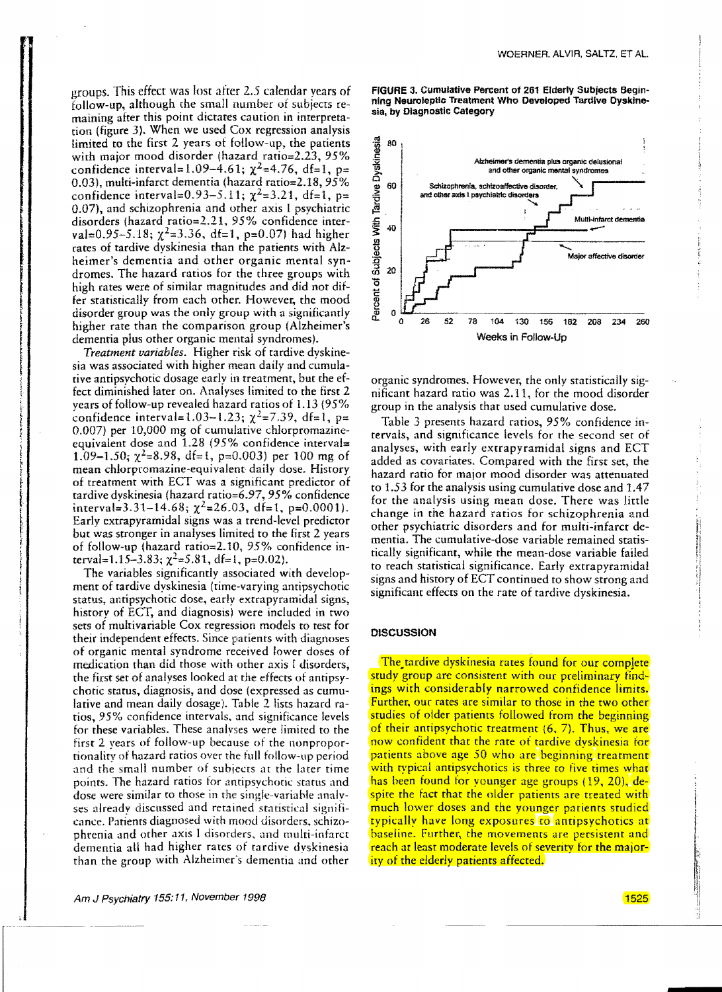WOERNER. ALVIR, SALTZ, ET AL.

groups. This effect was lost after 2.5 calendar years of follow-up, although the small number of subjects remaining after this point dictates caution in interpretation (figure 3). When we used Cox regression analysis limited to the first 2 years of follow-up, the patients with major mood disorder (hazard ratio $=2.23$ , 95% confidence interval=1.09-4.61;  $\chi^2$ =4.76, df=1, p= 0.03), multi-infarct dementia (hazard ratio=2.18, 95% confidence interval=0.93-5.11;  $\chi^2$ =3.21, df=1, p= 0.07), and schizophrenia and uther axis I psychiatric disorders (hazard ratio=2.21, 95% confidence interval=0.95-5.18;  $\chi^2$ =3.36, df=1, p=0.07) had higher rates of tardive dyskinesia than the patients with Alzheimer's dementia and other organic mental syndromes. The hazard ratios for the three groups with high rates were of similar magnitudes and did not differ statistically from each other. However, the mood disorder group was the only group with a significantly higher rate than the comparison group (Alzheimer's dementia plus other organic mental syndromes).

*Treatment variables.* Higher risk of tardive dyskinesia was associated with higher mean daily and cumulative antipsychotic dosage early in treatment, but the effect diminished later on. Analyses limited to the first 2 years of follow-up revealed hazard ratios of 1.13 (95% confidence interval=1.03-1.23;  $\chi^2$ =7.39, df=1, p= 0.007) per  $10,000$  mg of cumulative chlorpromazineequivalent dose and 1.28 (95% confidence interval= 1.09-1.50;  $\chi^2$ =8.98, df=1, p=0.003) per 100 mg of mean chlorpromazine-equivalent daily dose. History of treatment with ECT was a significant predictor of tardive dyskinesia (hazard ratio= $6.97$ ,  $95\%$  confidence interval=3.31-14.68;  $\chi^2$ =26.03, df=1, p=0.0001). Early extrapyramidal signs was a trend-level predictor but was srronger in analyses limited to the first 2 years of follow-up (hazard ratio=2.10,  $95\%$  confidence interval=1.15-3.83;  $\chi^2$ =5.81, df=1, p=0.02).

The variables significantly associated with development of tardive dyskinesia (time-varying antipsychotic status, antipsychotic dose, early extrapyramidal signs, history of ECT, and diagnosis) were included in two sets of multivariable Cox regression models to test for their independent effects. Since patients with diagnoses of organic mental syndrome received lower doses of medication than did those with other axis I disorders, the first set of analyses looked at the effects of antipsychotic status, diagnosis, and dose (expressed as cumulative and mean daily dosage). Table 2 lists hazard ratios, 95% confidence intervals, and significance levels for these variables. These analyses were limited to the first 2 years of follow-up because of the nonproportionality of hazard ratios over the full follow-up period and the small number of subjects at the later time points. The hazard ratios for antipsychotic status and dose were similar to those in the single-variable analvses already discussed and retained statistical signiticance. Patients diagnosed with mood disorders. schizophrenia and other axis I disorders. and multi-infarct dementia all had higher rates of tardive dyskinesia than the group with Alzheimer's dementia and other

FIGURE 3. Cumulative Percent of 261 Elderly Subjects Beginning Neuroleptic Treatment Who Developed Tardive Dyskinesia, by Diagnostic Category



organic syndromes. However, the only statistically significant hazard ratio was 2.11, for the mood disorder group in the analysis that used cumulative dose.

Table 3 presents hazard ratios, 95% confidence intervals. and significance levels for the second set of analyses, with early extrapyramidal signs and ECT added as covariates. Compared with the first set, the hazard ratio for major mood disorder was attenuated to 1.53 for the analysis using cumulative dose and 1.47 for the analysis using mean dose. There was little change in the hazard ratios for schizophrenia and other psychiatric disorders and for multi-infarct dementia. The cumulative-dose variable remained statistically significant, while the mean-dose variable failed to reach statistical significance. Early extrapyramidal signs and history of ECT continued to show strong and significant effects on the rate of tardive dyskinesia.

## **DISCUSSION**

The tardive dyskinesia rates found for our complete study group are consistent with our preliminary findings with considerably narrowed confidence limits. Further. our rates are similar to those in the two other studies of older patients followed from the beginning of their antipsychotic treatment (6, 7). Thus, we are now confident that the rate of tardive dyskinesia for patients above age  $50$  who are beginning treatment with typical antipsychotics is three to five times what has heen found for younger age groups (19,20), despite the fact that the older patients are treated with much lower doses and the younger patients studied typically have long exposures to antipsychotics at baseline. Further, the movements are persistent and reach at least moderate levels of severity for the majority of the elderly patients affected.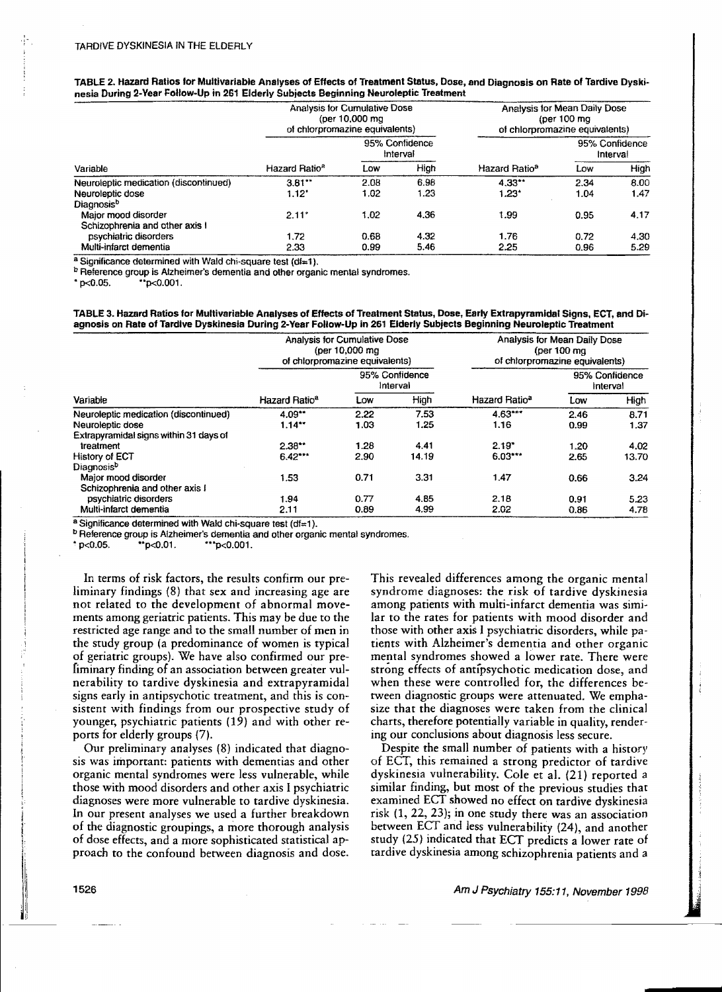| TABLE 2. Hazard Ratios for Multivariable Analyses of Effects of Treatment Status, Dose, and Diagnosis on Rate of Tardive Dyski- |  |
|---------------------------------------------------------------------------------------------------------------------------------|--|
| nesia During 2-Year Follow-Up in 261 Elderly Subjects Beginning Neuroleptic Treatment                                           |  |

| Variable                              | <b>Analysis for Cumulative Dose</b><br>(per 10,000 mg)<br>of chlorpromazine equivalents) |                            |      | Analysis for Mean Daily Dose<br>(per $100 \text{ mg}$<br>of chlorpromazine equivalents) |                            |      |
|---------------------------------------|------------------------------------------------------------------------------------------|----------------------------|------|-----------------------------------------------------------------------------------------|----------------------------|------|
|                                       | Hazard Ratio <sup>2</sup>                                                                | 95% Confidence<br>Interval |      |                                                                                         | 95% Confidence<br>Interval |      |
|                                       |                                                                                          | Low                        | High | Hazard Ratio <sup>a</sup>                                                               | Low                        | High |
| Neuroleptic medication (discontinued) | 3.81                                                                                     | 2.08                       | 6.98 | $4.33**$                                                                                | 2.34                       | 8.00 |
| Neuroleptic dose                      | $1.12^*$                                                                                 | 1.02                       | 1.23 | $1.23*$                                                                                 | 1.04                       | 1.47 |
| Diagnosisb                            |                                                                                          |                            |      |                                                                                         |                            |      |
| Major mood disorder                   | 2.11"                                                                                    | 1.02                       | 4.36 | 1.99                                                                                    | 0.95                       | 4.17 |
| Schizophrenia and other axis I        |                                                                                          |                            |      |                                                                                         |                            |      |
| psychiatric disorders                 | 1.72                                                                                     | 0.68                       | 4.32 | 1.76                                                                                    | 0.72                       | 4.30 |
| Multi-infarct dementia                | 2.33                                                                                     | 0.99                       | 5.46 | 2.25                                                                                    | 0.96                       | 5.29 |

a Significance determined with Wald chi-square test (df=1).

<sup>b</sup> Reference group is Alzheimer's dementia and other organic mental syndromes.

 $*_{p<0.001}$ .  $*_{p<0.001}$ .

TABLE 3. Hazard Ratios for MuHivariable Analyses of Effects of Treatment Status, Dose, Early extrapyramidal Signs, ECT, and Diagnosis on Rate of Tardive Dyskinesia During 2-Year Follow-Up in 261 Elderly Subjects Beginning Neuroleptic Treatment

| Variable                               | Analysis for Cumulative Dose<br>(per 10,000 mg)<br>of chlororomazine equivalents) |                            |       | Analysis for Mean Daily Dose<br>(per 100 ma<br>of chlorpromazine equivalents) |                            |       |
|----------------------------------------|-----------------------------------------------------------------------------------|----------------------------|-------|-------------------------------------------------------------------------------|----------------------------|-------|
|                                        |                                                                                   | 95% Confidence<br>Interval |       |                                                                               | 95% Confidence<br>Interval |       |
|                                        | Hazard Ratio <sup>a</sup>                                                         | Low                        | High  | Hazard Ratio <sup>a</sup>                                                     | Low                        | High  |
| Neuroleptic medication (discontinued)  | 4.09                                                                              | 2.22                       | 7.53  | $4.63***$                                                                     | 2.46                       | 8.71  |
| Neuroleptic dose                       | 1.14                                                                              | 1.03                       | 1.25  | 1.16                                                                          | 0.99                       | 1.37  |
| Extrapyramidal signs within 31 days of |                                                                                   |                            |       |                                                                               |                            |       |
| treatment                              | 2.38                                                                              | 1.28                       | 4.41  | 2.19"                                                                         | 1.20                       | 4.02  |
| History of ECT                         | $6.42***$                                                                         | 2.90                       | 14.19 | $6.03***$                                                                     | 2.65                       | 13.70 |
| Diagnosisb                             |                                                                                   |                            |       |                                                                               |                            |       |
| Major mood disorder                    | 1.53                                                                              | 0.71                       | 3.31  | 1.47                                                                          | 0.66                       | 3.24  |
| Schizophrenia and other axis I         |                                                                                   |                            |       |                                                                               |                            |       |
| psychiatric disorders                  | 1.94                                                                              | 0.77                       | 4.85  | 2.18                                                                          | 0.91                       | 5.23  |
| Multi-infarct dementia                 | 2.11                                                                              | 0.89                       | 4.99  | 2.02                                                                          | 0.86                       | 4.78  |

a Significance determined with Wald chi-square test  $(d\mathbf{f}=1)$ .

**b Reference group is Alzheimer's dementia and other organic mental syndromes.**<br>\*  $p < 0.05$ . \* \*  $p < 0.01$ . \* \* \*  $p < 0.001$ .

<sup>~</sup>p<:0.05. '·p<O.01. ·'·p<0.001.

In terms of risk factors, the results confirm our preliminary findings (8) that sex and increasing age are not related to the development of abnormal movements among geriatric patients. This may be due to the restricted age range and to the small number of men in the study group (a predominance of women is typical of geriatric groups). We have also confirmed our prefiminary finding of an association between greater vulnerability to tardive dyskinesia and extrapyramidal signs early in antipsychotic treatment, and this is consistent with findings from our prospective study of younger, psychiatric patients (19) and with other reports for elderly groups  $(7)$ .

Our preliminary analyses (8) indicated that diagnosis was important: patients with dementias and other organic mental syndromes were less vulnerable, while those with mood disorders and other axis I psychiatric diagnoses were more vulnerable to tardive dyskinesia. In our present analyses we used a further breakdown of the diagnostic groupings, a more thorough analysis of dose effects, and a more sophisticated statistical approach to the confound between diagnosis and dose.

This revealed differences among the organic mental syndrome diagnoses: the risk of tardive dyskinesia among patients with multi-infarct dementia was simi· lar to the rates for patients with mood disorder and those with other axis I psychiatric disorders, while patients with Alzheimer's dementia and other organic mental syndromes showed a lower rate. There were strong effects of antipsychotic medication dose, and when these were controlled for, the differences between diagnostic groups were attenuated. We emphasize that the diagnoses were taken from the clinical charts, therefore potentially variable in quality, rendering our conclusions about diagnosis less secure.

Despite the small number of patients with a history of ECT, this remained a strong predictor of tardive dyskinesia vulnerability. Cole et al. (21) reported a similar finding, but most of the previous studies that examined ECT showed no effect on tardive dyskinesia risk (1,22,23); in one study there was an association between ECT and less vulnerability (24), and another study (25) indicated that ECf predicts a lower rate of tardive dyskinesia among schizophrenia patients and a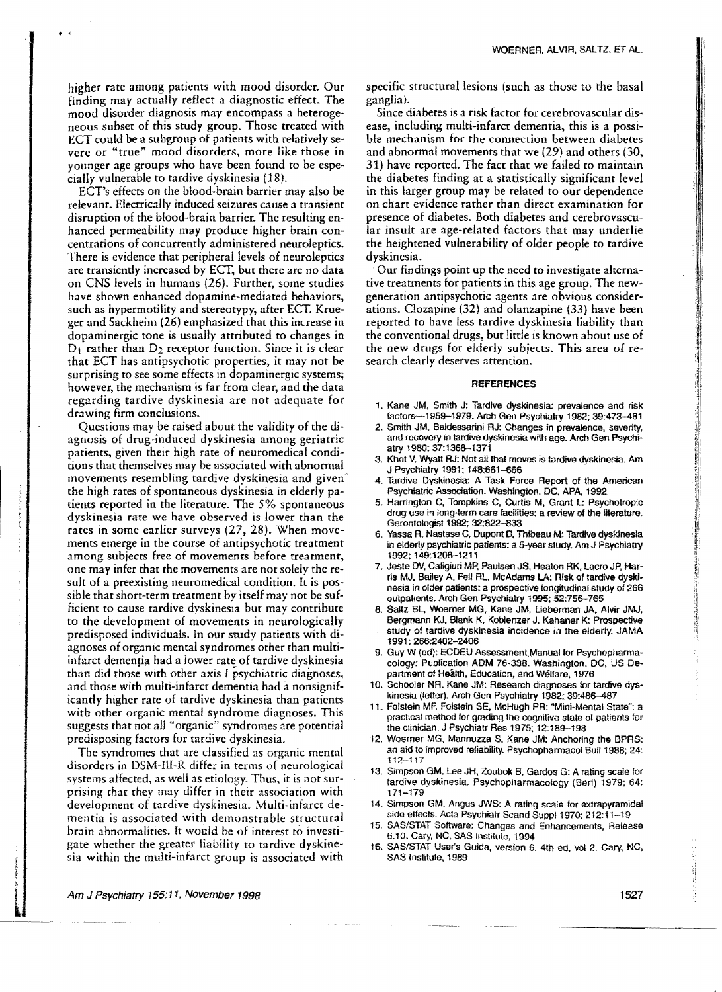higher rate among patients with mood disorder. Our finding may actually reflect a diagnostic effect. The mood disorder diagnosis may encompass a heteroge~ neous subset of this study group. Those treated with ECT could be a subgroup of patients with relatively severe or "true" mood disorders, more like those in younger age groups who have been found to be especially vulnerable to tardive dyskinesia (18).

 $\bullet$  .  $\bullet$ 

ECT's effects on the blood-brain barrier may also be relevant. Electrically induced seizures cause a transient disruption of the blood-brain barrier. The resulting enhanced permeability may produce higher brain concentrations of concurrently administered neuroleptics. There is evidence that peripheral levels of neuroleptics are transiently increased by ECT, but there are no data on eNS levels in humans (26). Further, some studies have shown enhanced dopamine-mediated behaviors, such as hypermotility and stereotypy, after ECT. Krueger and Sackheim (26) emphasized that this increase in dopaminergic tone is usually attributed to changes in  $D_1$  rather than  $D_2$  receptor function. Since it is clear that ECT has antipsychotic properties, it may not be surprising to see some effects in dopaminergic systems; however, the mechanism is far from dear, and the data regarding tardive dyskinesia are not adequate for drawing firm conclusions.

Questions may be raised about the validity of the diagnosis of drug-induced dyskinesia among geriatric patients, given their high rate of neuromedical conditions that themselves may be associated with abnormal movements resembling tardive dyskinesia and given· the high rates of spontaneous dyskinesia in elderly patients reported in the literature. The 5% spontaneous dyskinesia rate we have observed is lower than the rates in some earlier surveys (27, 28). When movements emerge in the course of antipsychotic treatment among subjects free of movements before treatment, one may infer that the movements are not solely the result of a preexisting neuromedical condition. It is possible that short-term treatment by itself may not be sufficient to cause tardive dyskinesia but may contribute to the development of movements in neurologically predisposed individuals. In our study patients with diagnoses of organic mental syndromes other than multiinfarct dementia had a lower rate of tardive dyskinesia than did those with other axis I psychiatric diagnoses, . and those with multi-infarct dementia had a nonsignificantly higher rate of tardive dyskinesia than patients with other organic mental syndrome diagnoses. This suggests that not all "organic" syndromes are potential predisposing factors for tardive dyskinesia.

The syndromes that are classified as organic mental disorders in DSM-I1I-R differ in terms of neurological systems affected, as well as etiology. Thus, it is not surprising that they may differ in their association with development of tardive dyskinesia. Multi-infarct dementia is associated with demonstrable structural brain abnormalities. It would be of interest to investigate whether the greater liability to tardive dyskinesia within the multi-infarct group is associated with specific structural lesions (such as those to the basal ganglia).

Since diabetes is a risk factor for cerebrovascular disease, including multi-infarct dementia, this is a possible mechanism for the connection between diabetes and abnormal movements that we (29) and others (30, 31) have reported. The fact that we failed to maintain the diabetes finding at a statistically significant level in this larger group may be related to our dependence on chart evidence rather than direct examination for presence of diabetes. Both diabetes and cerebrovascular insult are age-related factors that may underlie the heightened vulnerability of older people to tardive dyskinesia.

Our findings point up the need to investigate alternative treatments for patients in this age group. The newgeneration antipsychotic agents are obvious considerations. Clozapine (32) and olanzapine (33) have been reported to have less tardive dyskinesia liability than the conventional drugs, but little is known about use of the new drugs for elderly subjects. This area of research clearly deserves attention.

#### **REFERENCES**

- 1. Kane JM, Smith J: Tardive dyskinesia; prevalence and risk factors-1959-1979. Arch Gen Psychiatry 1982; 39:473-481
- 2. Smith JM. Baldessarini RJ: Changes in prevalence, severity, and recovery in tardive dyskinesia with age. Arch Gen Psychiatry 1980; 37:1368--1371
- 3. Khot V, Wyatt RJ: Not all that moves is tardive dyskinesia. Am J Psychiatry 1991; 148:661-006
- Tardive Dyskinesia: A Task Force Report of the American Psychiatric Association. Washington, DC, APA, 1992
- 5. Harrington C, Tompkins C, Curtis M, Grant L: Psychotropic drug use in long-term care facilities: a review of the literature. Gerontologist 1992; 32:822-833
- 6. Yassa A, Nastase C, Dupont D, Thibeau M: Tardive dyskinesia in elderly psychiatric patients: a 5-year study. Am J Psychiatry 1992; 149:1206-1211
- 7, Jeste DV, Caligiuri MP. Paulsen JS. Heaton RK. lacro JP. Harris MJ, Sailey A. FeU AL. McAdams LA: Risk of tardive dyskinesia in older patients: a prospective longitudinal study of 266 outpatients. Arch Gen Psychiatry 1995; 52:756-765
- 8. Saltz BL, Woerner MG, Kane JM, Lieberman JA, Alvir JMJ, Bergmann KJ, Blank K. Koblenzer J, Kahaner K: Prospective study of tardive dyskinesia incidence in the elderly. JAMA 1991; 266:2402-2406
- 9. Guy W (ed): ECDEU Assessment Manual for Psychopharmacology: Publication ADM 76-33S. Washington, DC. US Department of Health, Education, and Welfare. 1976
- 10. Schooler NR. Kane JM: Research diagnoses for tardive dyskinesia (letter), Arch Gen Psychiatry 1982; 39:486-487
- 11. Folstein MF, Folstein SE, McHugh PR: "Mini-Mental State": a practical method lor grading the cognitive state of pallents for the clinician. J Psychiatr Res 1975; 12:189-198
- 12. Woerner MG, Mannuzza S. Kane JM: Anchoring the SPRS: an aid to improved reliability. Psychopharmacol Bull 1988; 24: 112-117
- 13. Simpson GM. lee JH. Zoubok B, Gardos G: A rating scale for tardive dyskinesia. Psychopharmacology (Berl) 1979; 64: 171-179
- 14. Simpson GM, Angus JWS; A rating scale for extrapyramidal side effects. Acta Psychiatr Scand Suppl 1970; 212:11--19
- 15. SAS/STAT Software: Changes and Enhancements. Release 6.10. Cary, NC, SAS Institute, 1994
- 16. SAS/STAT User's Guide, version 6, 4th ed. vol 2. Cary, NC, SAS Institute, 1989